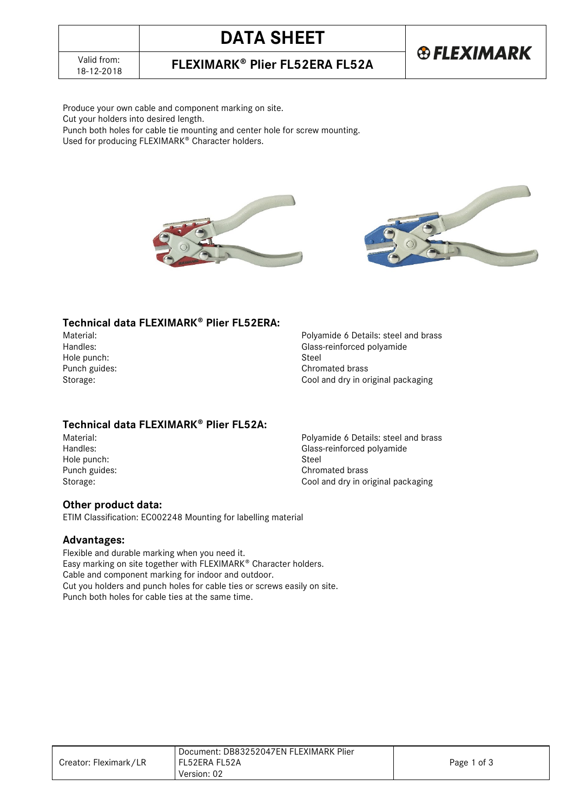# **DATA SHEET**

18-12-2018 **FLEXIMARK Plier FL52ERA FL52A**

### **®FLEXIMARK**

Produce your own cable and component marking on site. Cut your holders into desired length. Punch both holes for cable tie mounting and center hole for screw mounting.

Used for producing FLEXIMARK® Character holders.





### Technical data FLEXIMARK<sup>®</sup> Plier FL52ERA:

Hole punch:<br>Punch guides:

Material: example and brass and brass and brass and brass Handles: steel and brass Handles: example and brass Handles: example and brass and brass Handles: example and brass and brass and brass and brass and brass and bras Glass-reinforced polyamide<br>Steel Chromated brass Storage: Cool and dry in original packaging

### **Technical data FLEXIMARK<sup>®</sup> Plier FL52A:**<br>Material:

Hole punch:<br>Punch guides:

Material:<br>
Handles:<br>
Handles:<br>
Handles:<br>
Polyamide 6 Details: steel and brass Glass-reinforced polyamide<br>Steel Punch guides:<br>
Storage: Cool and dry in or Cool and dry in original packaging

### **Other product data:**

ETIM Classification: EC002248 Mounting for labelling material

### **Advantages:**

Flexible and durable marking when you need it. Easy marking on site together with FLEXIMARK<sup>®</sup> Character holders. Cable and component marking for indoor and outdoor. Cut you holders and punch holes for cable ties or screws easily on site. Punch both holes for cable ties at the same time.

|                       | Document: DB83252047EN FLEXIMARK Plier |             |
|-----------------------|----------------------------------------|-------------|
| Creator: Fleximark/LR | l FL52ERA FL52A                        | Page 1 of 3 |
|                       | Version: 02                            |             |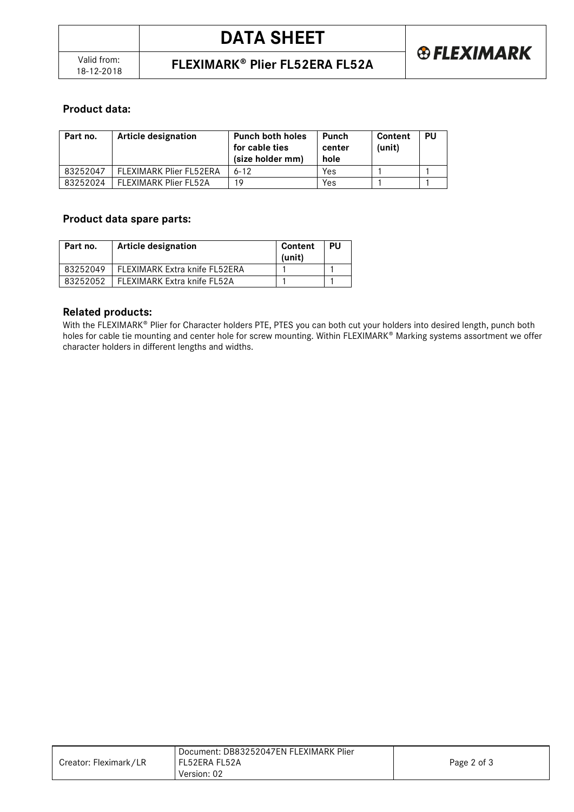### **Product data:**

| Part no. | Article designation     | <b>Punch both holes</b><br>for cable ties<br>(size holder mm) | Punch<br>center<br>hole | Content<br>(unit) | PU |
|----------|-------------------------|---------------------------------------------------------------|-------------------------|-------------------|----|
| 83252047 | FLEXIMARK Plier FL52ERA | $6 - 12$                                                      | Yes                     |                   |    |
| 83252024 | FLEXIMARK Plier FL52A   | 1 Q                                                           | Yes                     |                   |    |

### **Product data spare parts:**

| Part no. | <b>Article designation</b>    | Content<br>(unit) | PU |
|----------|-------------------------------|-------------------|----|
| 83252049 | FLEXIMARK Extra knife FL52ERA |                   |    |
| 83252052 | FLEXIMARK Extra knife FL52A   |                   |    |

#### **Related products:**

With the FLEXIMARK® Plier for Character holders PTE, PTES you can both cut your holders into desired length, punch both holes for cable tie mounting and center hole for screw mounting. Within FLEXIMARK® Marking systems assortment we offer character holders in different lengths and widths.

|                       | Document: DB83252047EN FLEXIMARK Plier |             |
|-----------------------|----------------------------------------|-------------|
| Creator: Fleximark/LR | l FL52ERA FL52A                        | Page 2 of 3 |
|                       | Version: 02                            |             |